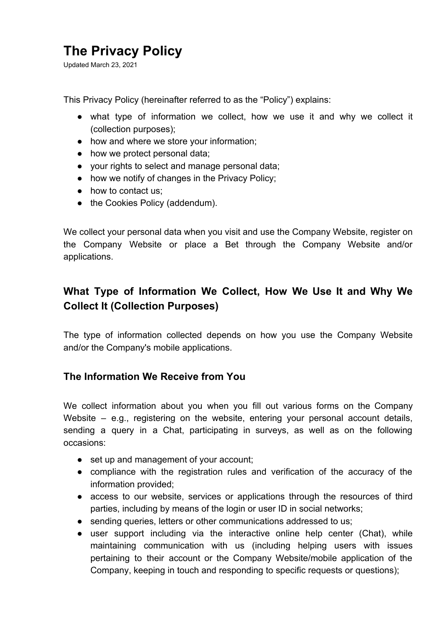## **The Privacy Policy**

Updated March 23, 2021

This Privacy Policy (hereinafter referred to as the "Policy") explains:

- what type of information we collect, how we use it and why we collect it (collection purposes);
- how and where we store your information;
- how we protect personal data;
- your rights to select and manage personal data;
- how we notify of changes in the Privacy Policy;
- how to contact us;
- the Cookies Policy (addendum).

We collect your personal data when you visit and use the Company Website, register on the Company Website or place a Bet through the Company Website and/or applications.

## **What Type of Information We Collect, How We Use It and Why We Collect It (Collection Purposes)**

The type of information collected depends on how you use the Company Website and/or the Company's mobile applications.

#### **The Information We Receive from You**

We collect information about you when you fill out various forms on the Company Website – e.g., registering on the website, entering your personal account details, sending a query in a Chat, participating in surveys, as well as on the following occasions:

- set up and management of your account;
- compliance with the registration rules and verification of the accuracy of the information provided;
- access to our website, services or applications through the resources of third parties, including by means of the login or user ID in social networks;
- sending queries, letters or other communications addressed to us;
- user support including via the interactive online help center (Chat), while maintaining communication with us (including helping users with issues pertaining to their account or the Company Website/mobile application of the Company, keeping in touch and responding to specific requests or questions);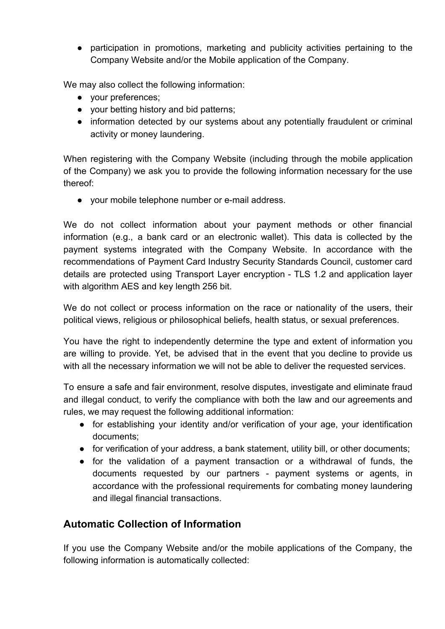● participation in promotions, marketing and publicity activities pertaining to the Company Website and/or the Mobile application of the Company.

We may also collect the following information:

- your preferences;
- your betting history and bid patterns;
- information detected by our systems about any potentially fraudulent or criminal activity or money laundering.

When registering with the Company Website (including through the mobile application of the Company) we ask you to provide the following information necessary for the use thereof:

● your mobile telephone number or e-mail address.

We do not collect information about your payment methods or other financial information (e.g., a bank card or an electronic wallet). This data is collected by the payment systems integrated with the Company Website. In accordance with the recommendations of Payment Card Industry Security Standards Council, customer card details are protected using Transport Layer encryption - TLS 1.2 and application layer with algorithm AES and key length 256 bit.

We do not collect or process information on the race or nationality of the users, their political views, religious or philosophical beliefs, health status, or sexual preferences.

You have the right to independently determine the type and extent of information you are willing to provide. Yet, be advised that in the event that you decline to provide us with all the necessary information we will not be able to deliver the requested services.

To ensure a safe and fair environment, resolve disputes, investigate and eliminate fraud and illegal conduct, to verify the compliance with both the law and our agreements and rules, we may request the following additional information:

- for establishing your identity and/or verification of your age, your identification documents;
- for verification of your address, a bank statement, utility bill, or other documents;
- for the validation of a payment transaction or a withdrawal of funds, the documents requested by our partners - payment systems or agents, in accordance with the professional requirements for combating money laundering and illegal financial transactions.

## **Automatic Collection of Information**

If you use the Company Website and/or the mobile applications of the Company, the following information is automatically collected: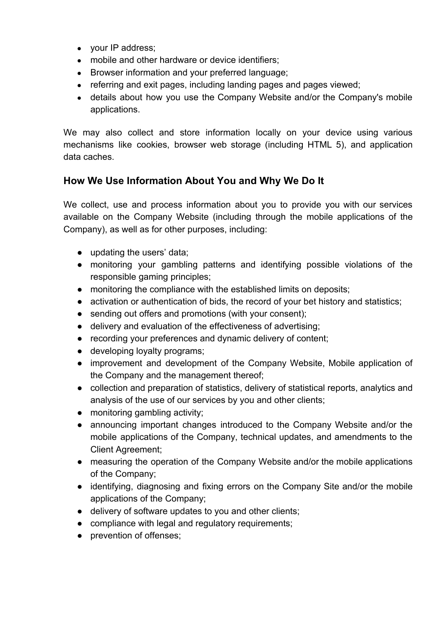- your IP address;
- mobile and other hardware or device identifiers;
- Browser information and your preferred language;
- referring and exit pages, including landing pages and pages viewed;
- details about how you use the Company Website and/or the Company's mobile applications.

We may also collect and store information locally on your device using various mechanisms like cookies, browser web storage (including HTML 5), and application data caches.

## **How We Use Information About You and Why We Do It**

We collect, use and process information about you to provide you with our services available on the Company Website (including through the mobile applications of the Company), as well as for other purposes, including:

- updating the users' data;
- monitoring your gambling patterns and identifying possible violations of the responsible gaming principles;
- monitoring the compliance with the established limits on deposits;
- activation or authentication of bids, the record of your bet history and statistics;
- sending out offers and promotions (with your consent);
- delivery and evaluation of the effectiveness of advertising;
- recording your preferences and dynamic delivery of content;
- developing loyalty programs;
- improvement and development of the Company Website, Mobile application of the Company and the management thereof;
- collection and preparation of statistics, delivery of statistical reports, analytics and analysis of the use of our services by you and other clients;
- monitoring gambling activity;
- announcing important changes introduced to the Company Website and/or the mobile applications of the Company, technical updates, and amendments to the Client Agreement;
- measuring the operation of the Company Website and/or the mobile applications of the Company;
- identifying, diagnosing and fixing errors on the Company Site and/or the mobile applications of the Company;
- delivery of software updates to you and other clients;
- compliance with legal and regulatory requirements;
- prevention of offenses;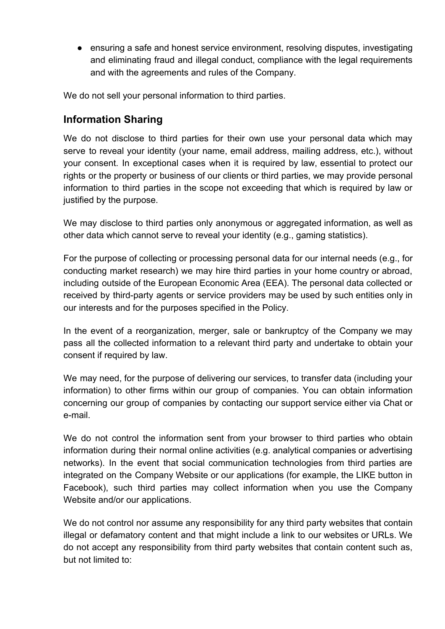● ensuring a safe and honest service environment, resolving disputes, investigating and eliminating fraud and illegal conduct, compliance with the legal requirements and with the agreements and rules of the Company.

We do not sell your personal information to third parties.

## **Information Sharing**

We do not disclose to third parties for their own use your personal data which may serve to reveal your identity (your name, email address, mailing address, etc.), without your consent. In exceptional cases when it is required by law, essential to protect our rights or the property or business of our clients or third parties, we may provide personal information to third parties in the scope not exceeding that which is required by law or justified by the purpose.

We may disclose to third parties only anonymous or aggregated information, as well as other data which cannot serve to reveal your identity (e.g., gaming statistics).

For the purpose of collecting or processing personal data for our internal needs (e.g., for conducting market research) we may hire third parties in your home country or abroad, including outside of the European Economic Area (EEA). The personal data collected or received by third-party agents or service providers may be used by such entities only in our interests and for the purposes specified in the Policy.

In the event of a reorganization, merger, sale or bankruptcy of the Company we may pass all the collected information to a relevant third party and undertake to obtain your consent if required by law.

We may need, for the purpose of delivering our services, to transfer data (including your information) to other firms within our group of companies. You can obtain information concerning our group of companies by contacting our support service either via Chat or e-mail.

We do not control the information sent from your browser to third parties who obtain information during their normal online activities (e.g. analytical companies or advertising networks). In the event that social communication technologies from third parties are integrated on the Company Website or our applications (for example, the LIKE button in Facebook), such third parties may collect information when you use the Company Website and/or our applications.

We do not control nor assume any responsibility for any third party websites that contain illegal or defamatory content and that might include a link to our websites or URLs. We do not accept any responsibility from third party websites that contain content such as, but not limited to: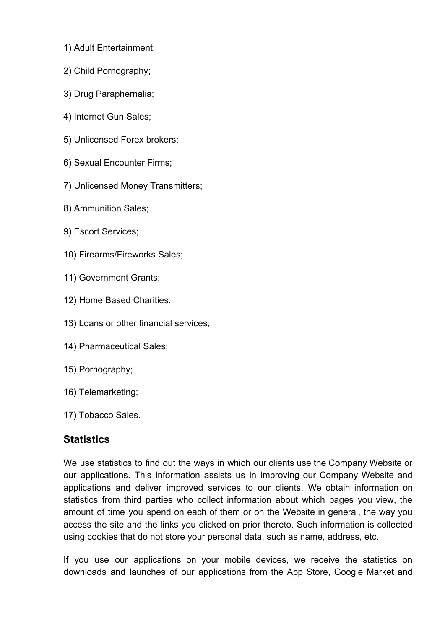- 1) Adult Entertainment;
- 2) Child Pornography;
- 3) Drug Paraphernalia;
- 4) Internet Gun Sales;
- 5) Unlicensed Forex brokers;
- 6) Sexual Encounter Firms;
- 7) Unlicensed Money Transmitters;
- 8) Ammunition Sales;
- 9) Escort Services;
- 10) Firearms/Fireworks Sales;
- 11) Government Grants;
- 12) Home Based Charities;
- 13) Loans or other financial services;
- 14) Pharmaceutical Sales;
- 15) Pornography;
- 16) Telemarketing;
- 17) Tobacco Sales.

## **Statistics**

We use statistics to find out the ways in which our clients use the Company Website or our applications. This information assists us in improving our Company Website and applications and deliver improved services to our clients. We obtain information on statistics from third parties who collect information about which pages you view, the amount of time you spend on each of them or on the Website in general, the way you access the site and the links you clicked on prior thereto. Such information is collected using cookies that do not store your personal data, such as name, address, etc.

If you use our applications on your mobile devices, we receive the statistics on downloads and launches of our applications from the App Store, Google Market and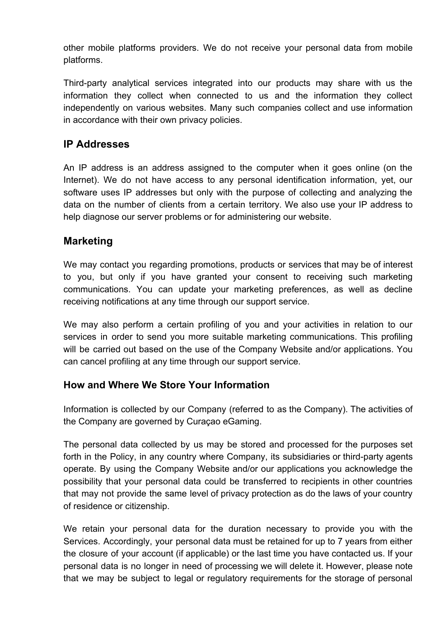other mobile platforms providers. We do not receive your personal data from mobile platforms.

Third-party analytical services integrated into our products may share with us the information they collect when connected to us and the information they collect independently on various websites. Many such companies collect and use information in accordance with their own privacy policies.

## **IP Addresses**

An IP address is an address assigned to the computer when it goes online (on the Internet). We do not have access to any personal identification information, yet, our software uses IP addresses but only with the purpose of collecting and analyzing the data on the number of clients from a certain territory. We also use your IP address to help diagnose our server problems or for administering our website.

## **Marketing**

We may contact you regarding promotions, products or services that may be of interest to you, but only if you have granted your consent to receiving such marketing communications. You can update your marketing preferences, as well as decline receiving notifications at any time through our support service.

We may also perform a certain profiling of you and your activities in relation to our services in order to send you more suitable marketing communications. This profiling will be carried out based on the use of the Company Website and/or applications. You can cancel profiling at any time through our support service.

## **How and Where We Store Your Information**

Information is collected by our Company (referred to as the Company). The activities of the Company are governed by Curaçao eGaming.

The personal data collected by us may be stored and processed for the purposes set forth in the Policy, in any country where Company, its subsidiaries or third-party agents operate. By using the Company Website and/or our applications you acknowledge the possibility that your personal data could be transferred to recipients in other countries that may not provide the same level of privacy protection as do the laws of your country of residence or citizenship.

We retain your personal data for the duration necessary to provide you with the Services. Accordingly, your personal data must be retained for up to 7 years from either the closure of your account (if applicable) or the last time you have contacted us. If your personal data is no longer in need of processing we will delete it. However, please note that we may be subject to legal or regulatory requirements for the storage of personal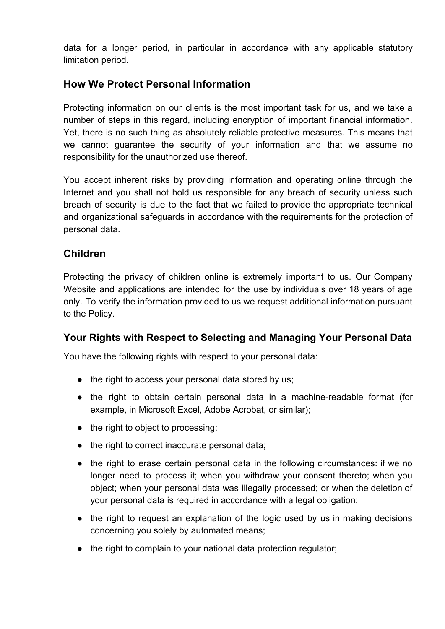data for a longer period, in particular in accordance with any applicable statutory limitation period.

## **How We Protect Personal Information**

Protecting information on our clients is the most important task for us, and we take a number of steps in this regard, including encryption of important financial information. Yet, there is no such thing as absolutely reliable protective measures. This means that we cannot guarantee the security of your information and that we assume no responsibility for the unauthorized use thereof.

You accept inherent risks by providing information and operating online through the Internet and you shall not hold us responsible for any breach of security unless such breach of security is due to the fact that we failed to provide the appropriate technical and organizational safeguards in accordance with the requirements for the protection of personal data.

## **Children**

Protecting the privacy of children online is extremely important to us. Our Company Website and applications are intended for the use by individuals over 18 years of age only. To verify the information provided to us we request additional information pursuant to the Policy.

## **Your Rights with Respect to Selecting and Managing Your Personal Data**

You have the following rights with respect to your personal data:

- the right to access your personal data stored by us;
- the right to obtain certain personal data in a machine-readable format (for example, in Microsoft Excel, Adobe Acrobat, or similar);
- the right to object to processing;
- the right to correct inaccurate personal data;
- the right to erase certain personal data in the following circumstances: if we no longer need to process it; when you withdraw your consent thereto; when you object; when your personal data was illegally processed; or when the deletion of your personal data is required in accordance with a legal obligation;
- the right to request an explanation of the logic used by us in making decisions concerning you solely by automated means;
- the right to complain to your national data protection regulator;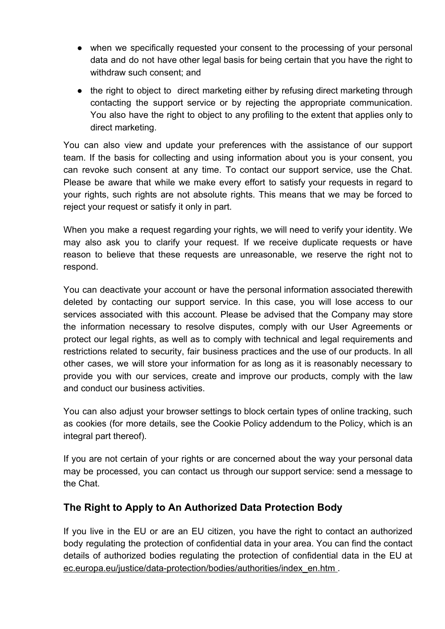- when we specifically requested your consent to the processing of your personal data and do not have other legal basis for being certain that you have the right to withdraw such consent; and
- the right to object to direct marketing either by refusing direct marketing through contacting the support service or by rejecting the appropriate communication. You also have the right to object to any profiling to the extent that applies only to direct marketing.

You can also view and update your preferences with the assistance of our support team. If the basis for collecting and using information about you is your consent, you can revoke such consent at any time. To contact our support service, use the Chat. Please be aware that while we make every effort to satisfy your requests in regard to your rights, such rights are not absolute rights. This means that we may be forced to reject your request or satisfy it only in part.

When you make a request regarding your rights, we will need to verify your identity. We may also ask you to clarify your request. If we receive duplicate requests or have reason to believe that these requests are unreasonable, we reserve the right not to respond.

You can deactivate your account or have the personal information associated therewith deleted by contacting our support service. In this case, you will lose access to our services associated with this account. Please be advised that the Company may store the information necessary to resolve disputes, comply with our User Agreements or protect our legal rights, as well as to comply with technical and legal requirements and restrictions related to security, fair business practices and the use of our products. In all other cases, we will store your information for as long as it is reasonably necessary to provide you with our services, create and improve our products, comply with the law and conduct our business activities.

You can also adjust your browser settings to block certain types of online tracking, such as cookies (for more details, see the Cookie Policy addendum to the Policy, which is an integral part thereof).

If you are not certain of your rights or are concerned about the way your personal data may be processed, you can contact us through our support service: send a message to the Chat.

## **The Right to Apply to An Authorized Data Protection Body**

If you live in the EU or are an EU citizen, you have the right to contact an authorized body regulating the protection of confidential data in your area. You can find the contact details of authorized bodies regulating the protection of confidential data in the EU at [ec.europa.eu/justice/data-protection/bodies/authorities/index\\_en.htm .](mailto:support@betmaster.com)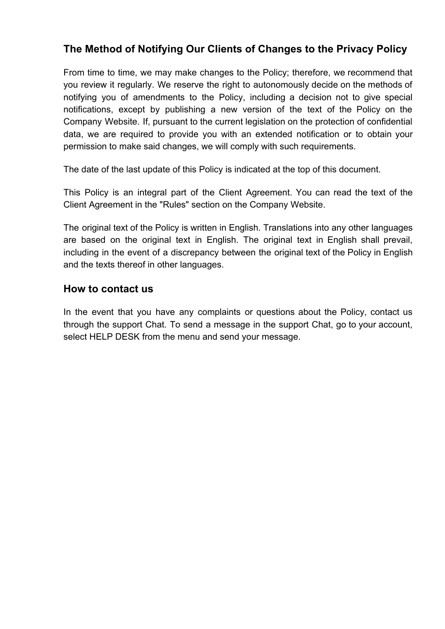## **The Method of Notifying Our Clients of Changes to the Privacy Policy**

From time to time, we may make changes to the Policy; therefore, we recommend that you review it regularly. We reserve the right to autonomously decide on the methods of notifying you of amendments to the Policy, including a decision not to give special notifications, except by publishing a new version of the text of the Policy on the Company Website. If, pursuant to the current legislation on the protection of confidential data, we are required to provide you with an extended notification or to obtain your permission to make said changes, we will comply with such requirements.

The date of the last update of this Policy is indicated at the top of this document.

This Policy is an integral part of the Client Agreement. You can read the text of the Client Agreement in the "Rules" section on the Company Website.

The original text of the Policy is written in English. Translations into any other languages are based on the original text in English. The original text in English shall prevail, including in the event of a discrepancy between the original text of the Policy in English and the texts thereof in other languages.

#### **How to contact us**

In the event that you have any complaints or questions about the Policy, contact us through the support Chat. To send a message in the support Chat, go to your account, select HELP DESK from the menu and send your message.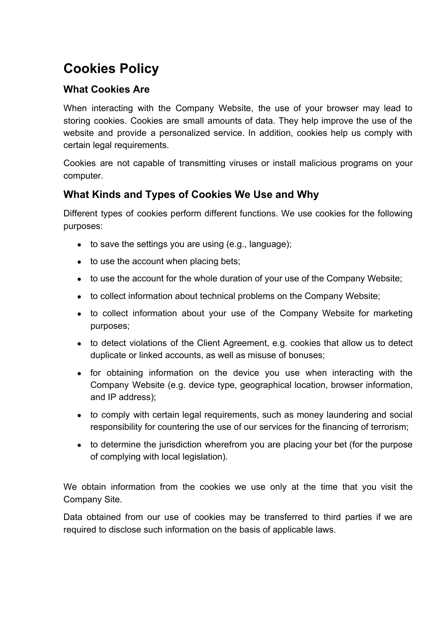# **Cookies Policy**

#### **What Cookies Are**

When interacting with the Company Website, the use of your browser may lead to storing cookies. Cookies are small amounts of data. They help improve the use of the website and provide a personalized service. In addition, cookies help us comply with certain legal requirements.

Cookies are not capable of transmitting viruses or install malicious programs on your computer.

## **What Kinds and Types of Cookies We Use and Why**

Different types of cookies perform different functions. We use cookies for the following purposes:

- $\bullet$  to save the settings you are using (e.g., language);
- to use the account when placing bets;
- to use the account for the whole duration of your use of the Company Website;
- to collect information about technical problems on the Company Website;
- to collect information about your use of the Company Website for marketing purposes;
- to detect violations of the Client Agreement, e.g. cookies that allow us to detect duplicate or linked accounts, as well as misuse of bonuses;
- for obtaining information on the device you use when interacting with the Company Website (e.g. device type, geographical location, browser information, and IP address);
- to comply with certain legal requirements, such as money laundering and social responsibility for countering the use of our services for the financing of terrorism;
- to determine the jurisdiction wherefrom you are placing your bet (for the purpose of complying with local legislation).

We obtain information from the cookies we use only at the time that you visit the Company Site.

Data obtained from our use of cookies may be transferred to third parties if we are required to disclose such information on the basis of applicable laws.